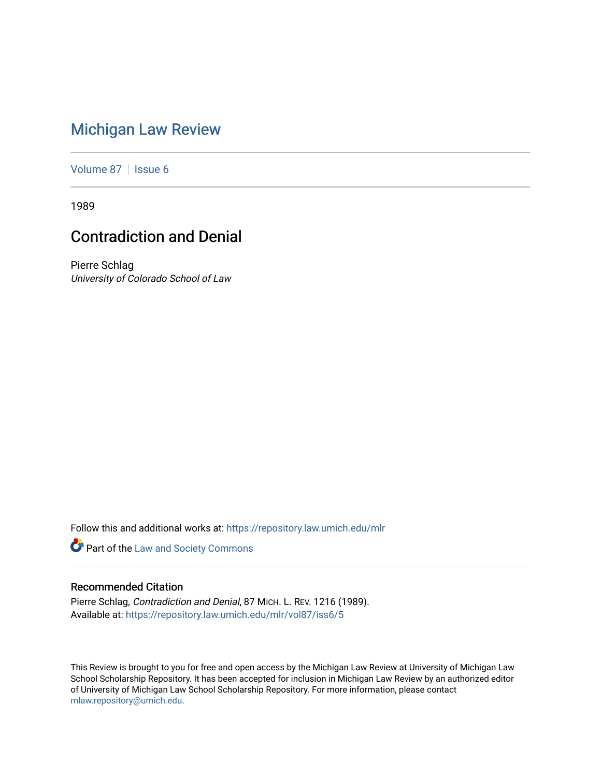# [Michigan Law Review](https://repository.law.umich.edu/mlr)

[Volume 87](https://repository.law.umich.edu/mlr/vol87) | [Issue 6](https://repository.law.umich.edu/mlr/vol87/iss6)

1989

## Contradiction and Denial

Pierre Schlag University of Colorado School of Law

Follow this and additional works at: [https://repository.law.umich.edu/mlr](https://repository.law.umich.edu/mlr?utm_source=repository.law.umich.edu%2Fmlr%2Fvol87%2Fiss6%2F5&utm_medium=PDF&utm_campaign=PDFCoverPages) 

**Part of the [Law and Society Commons](http://network.bepress.com/hgg/discipline/853?utm_source=repository.law.umich.edu%2Fmlr%2Fvol87%2Fiss6%2F5&utm_medium=PDF&utm_campaign=PDFCoverPages)** 

### Recommended Citation

Pierre Schlag, Contradiction and Denial, 87 MICH. L. REV. 1216 (1989). Available at: [https://repository.law.umich.edu/mlr/vol87/iss6/5](https://repository.law.umich.edu/mlr/vol87/iss6/5?utm_source=repository.law.umich.edu%2Fmlr%2Fvol87%2Fiss6%2F5&utm_medium=PDF&utm_campaign=PDFCoverPages)

This Review is brought to you for free and open access by the Michigan Law Review at University of Michigan Law School Scholarship Repository. It has been accepted for inclusion in Michigan Law Review by an authorized editor of University of Michigan Law School Scholarship Repository. For more information, please contact [mlaw.repository@umich.edu.](mailto:mlaw.repository@umich.edu)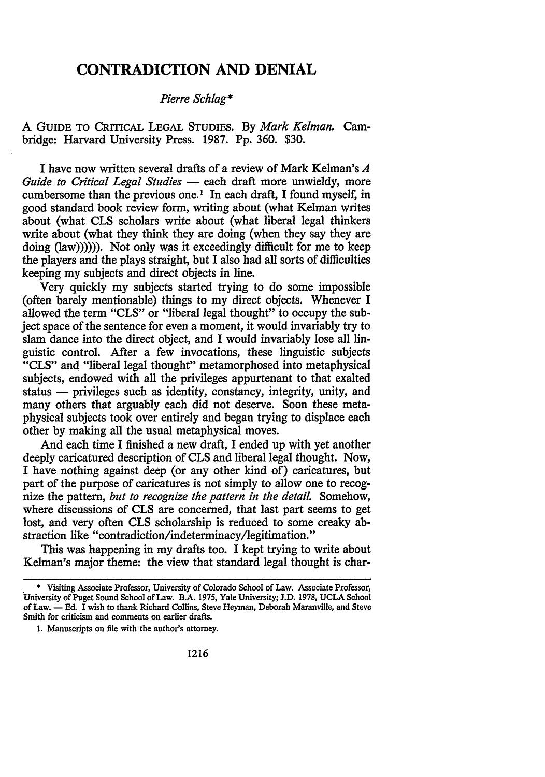### **CONTRADICTION AND DENIAL**

#### *Pierre Schlag\**

A GUIDE TO CRITICAL LEGAL STUDIES. By *Mark Kelman.* Cambridge: Harvard University Press. 1987. Pp. 360. \$30.

I have now written several drafts of a review of Mark Kelman's *A Guide to Critical Legal Studies* - each draft more unwieldy, more cumbersome than the previous one.<sup>1</sup> In each draft, I found myself, in good standard book review form, writing about (what Kelman writes about (what CLS scholars write about (what liberal legal thinkers write about (what they think they are doing (when they say they are doing  $(law))$ ))). Not only was it exceedingly difficult for me to keep the players and the plays straight, but I also had all sorts of difficulties keeping my subjects and direct objects in line.

Very quickly my subjects started trying to do some impossible (often barely mentionable) things to my direct objects. Whenever I allowed the term "CLS" or "liberal legal thought" to occupy the subject space of the sentence for even a moment, it would invariably try to slam dance into the direct object, and I would invariably lose all linguistic control. After a few invocations, these linguistic subjects "CLS" and "liberal legal thought" metamorphosed into metaphysical subjects, endowed with all the privileges appurtenant to that exalted status - privileges such as identity, constancy, integrity, unity, and many others that arguably each did not deserve. Soon these metaphysical subjects took over entirely and began trying to displace each other by making all the usual metaphysical moves.

And each time I finished a new draft, I ended up with yet another deeply caricatured description of CLS and liberal legal thought. Now, I have nothing against deep (or any other kind of) caricatures, but part of the purpose of caricatures is not simply to allow one to recognize the pattern, *but to recognize the pattern in the detail* Somehow, where discussions of CLS are concerned, that last part seems to get lost, and very often CLS scholarship is reduced to some creaky abstraction like "contradiction/indeterminacy/legitimation."

This was happening in my drafts too. I kept trying to write about Kelman's major theme: the view that standard legal thought is char-

<sup>. \*</sup> Visiting Associate Professor, University of Colorado School of Law. Associate Professor, University of Puget Sound School of Law. B.A. 1975, Yale University; J.D. 1978, UCLA School of Law. - Ed. I wish to thank Richard Collins, Steve Heyman, Deborah Maranville, and Steve Smith for criticism and comments on earlier drafts.

I. Manuscripts on file with the author's attorney.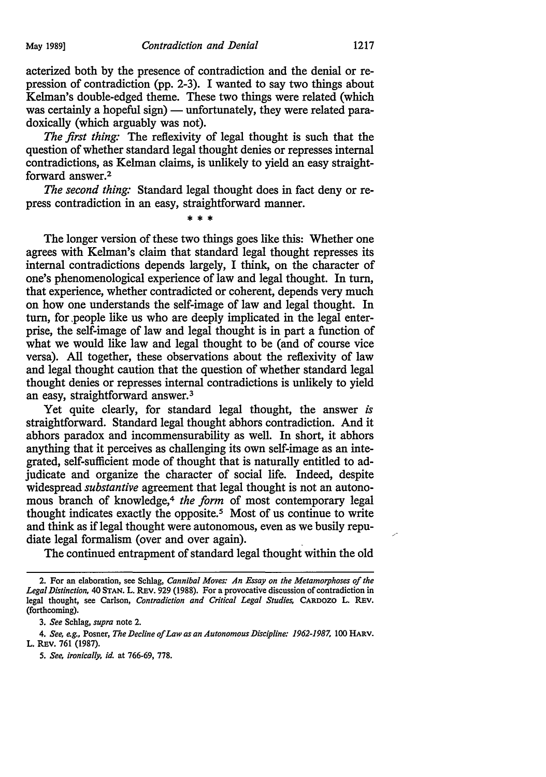acterized both by the presence of contradiction and the denial or repression of contradiction (pp. 2-3). I wanted to say two things about Kelman's double-edged theme. These two things were related (which was certainly a hopeful sign) — unfortunately, they were related paradoxically (which arguably was not).

*The first thing:* The reflexivity of legal thought is such that the question of whether standard legal thought denies or represses internal contradictions, as Kelman claims, is unlikely to yield an easy straightforward answer.2

*The second thing:* Standard legal thought does in fact deny or repress contradiction in an easy, straightforward manner.

\* \* \*

The longer version of these two things goes like this: Whether one agrees with Kelman's claim that standard legal thought represses its internal contradictions depends largely, I think, on the character of one's phenomenological experience of law and legal thought. In turn, that experience, whether contradicted or coherent, depends very much on how one understands the self-image of law and legal thought. In turn, for .people like us who are deeply implicated in the legal enterprise, the self-image of law and legal thought is in part a function of what we would like law and legal thought to be (and of course vice versa). All together, these observations about the reflexivity of law and legal thought caution that the question of whether standard legal thought denies or represses internal contradictions is unlikely to yield an easy, straightforward answer. 3

Yet quite clearly, for standard legal thought, the answer *is*  straightforward. Standard legal thought abhors contradiction. And it abhors paradox and incommensurability as well. In short, it abhors anything that it perceives as challenging its own self-image as an integrated, self-sufficient mode of thought that is naturally entitled to adjudicate and organize the character of social life. Indeed, despite widespread *substantive* agreement that legal thought is not an autonomous branch of knowledge,<sup>4</sup> *the form* of most contemporary legal thought indicates exactly the opposite.<sup>5</sup> Most of us continue to write and think as if legal thought were autonomous, even as we busily repudiate legal formalism (over and over again).

The continued entrapment of standard legal thought within the old

<sup>2.</sup> For an elaboration, see Schlag, *Cannibal Moves: An Essay on the Metamorphoses of the*  Legal Distinction, 40 STAN. L. REV. 929 (1988). For a provocative discussion of contradiction in legal thought, see Carlson, *Contradiction and Critical Legal Studies*, CARDOZO L. REV. (forthcoming).

<sup>3.</sup> *See* Schlag, *supra* note 2.

<sup>4.</sup> *See, e.g.,* Posner, *The Decline of Law as an Autonomous Discipline: 1962-1987,* 100 HARV. L. REV. 761 (1987).

*<sup>5.</sup> See, ironically, id.* at 766-69, 778.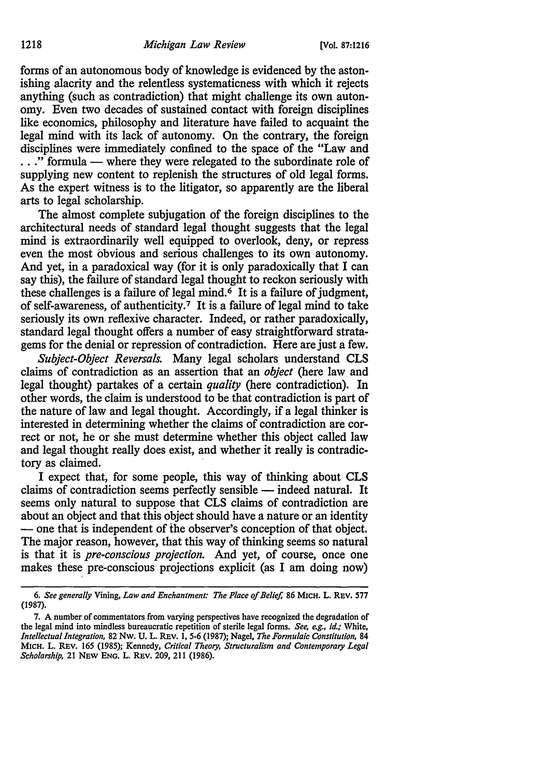forms of an autonomous body of knowledge is evidenced by the astonishing alacrity and the relentless systematicness with which it rejects anything (such as contradiction) that might challenge its own autonomy. Even two decades of sustained contact with foreign disciplines like economics, philosophy and literature have failed to acquaint the legal mind with its lack of autonomy. On the contrary, the foreign disciplines were immediately confined to the space of the "Law and ..." formula — where they were relegated to the subordinate role of supplying new content to replenish the structures of old legal forms. As the expert witness is to the litigator, so apparently are the liberal arts to legal scholarship.

The almost complete subjugation of the foreign disciplines to the architectural needs of standard legal thought suggests that the legal mind is extraordinarily well equipped to overlook, deny, or repress even the most obvious and serious challenges to its own autonomy. And yet, in a paradoxical way (for it is only paradoxically that I can say this), the failure of standard legal thought to reckon seriously with these challenges is a failure of legal mind.<sup>6</sup> It is a failure of judgment, of self-awareness, of authenticity.<sup>7</sup> It is a failure of legal mind to take seriously its own reflexive character. Indeed, or rather paradoxically, standard legal thought offers a number of easy straightforward stratagems for the denial or repression of contradiction. Here are just a few.

*Subject-Object Reversals.* Many legal scholars understand CLS claims of contradiction as an assertion that an *object* (here law and legal thought) partakes of a certain *quality* (here contradiction). In other words, the claim is understood to be that contradiction is part of the nature of law and legal thought. Accordingly, if a legal thinker is interested in determining whether the claims of contradiction are correct or not, he or she must determine whether this object called law and legal thought really does exist, and whether it really is contradictory as claimed.

I expect that, for some people, this way of thinking about CLS claims of contradiction seems perfectly sensible - indeed natural. It seems only natural to suppose that CLS claims of contradiction are about an object and that this object should have a nature or an identity - one that is independent of the observer's conception of that object. The major reason, however, that this way of thinking seems so natural is that it is *pre-conscious projection.* And yet, of course, once one makes these pre-conscious projections explicit (as I am doing now)

<sup>6.</sup> *See generally* Vining, *Law and Enchantment: The Place of Belief.* 86 MICH. L. REV. 577 (1987).

<sup>7.</sup> A number of commentators from varying perspectives have recognized the degradation of the legal mind into mindless bureaucratic repetition of sterile legal forms. *See, e.g., id.,·* White, *Intellectual Integration,* 82 Nw. U. L. REv. 1, 5-6 (1987); Nagel, *The Formulaic Constitution,* 84 MICH. L. REv. 165 (1985); Kennedy, *Critical Theory, Structuralism and Contemporary Legal Scholarship,* 21 NEW ENG. L. REV. 209, 211 (1986).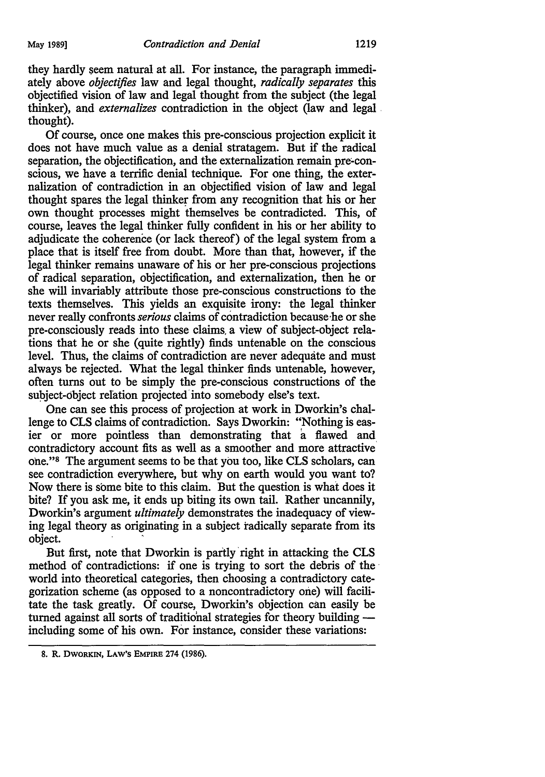they hardly seem natural at all. For instance, the paragraph immediately above *objectifies* law and legal thought, *radically separates* this objectified vision of law and legal thought from the subject (the legal thinker), and *externalizes* contradiction in the object (law and legal . thought).

Of course, once one makes this pre-conscious projection explicit it does not have much value as a denial stratagem. But if the radical separation, the objectification, and the externalization remain pre-conscious, we have a terrific denial technique. For one thing, the externalization of contradiction in an objectified vision of law and legal thought spares the legal thinker from any recognition that his or her own thought processes might themselves be contradicted. This, of course, leaves the legal thinker fully confident in his or her ability to adjudicate the coherence (or lack thereof) of the legal system from a place that is itself free from doubt. More than that, however, if the legal thinker remains unaware of his or her pre-conscious projections of radical separation, objectification, and externalization, then he or she will invariably attribute those pre-conscious constructions fo the texts themselves. This yields an exquisite irony: the legal thinker never really confronts *serious* claims of contradiction because he or she pre-consciously reads into these claims. a view of subject-object relations that he or she (quite rightly) finds untenable on the conscious level. Thus, the claims of contradiction are never adequate and must always be rejected. What the legal thinker finds untenable, however, often turns out to be simply the pre-conscious constructions of the subject-object relation projected into somebody else's text.

One can see this process of projection at work in Dworkin's challenge to CLS claims of contradiction. Says Dworkin: "Nothing is easier or more pointless than demonstrating that a flawed and contradictory account fits as well as a smoother and more attractive ohe."8 The argument seems to be that you too, like CLS scholars, can see contradiction everywhere, but why on earth would you want to? Now there is some bite to this claim. But the question is what does it bite? If you ask me, it ends up biting its own tail. Rather uncannily, Dworkin's argument *ultimately* demonstrates the inadequacy of viewing legal theory as originating in a subject radically separate from its object. '

But first, note that Dworkin is partly right in attacking the CLS method of contradictions: if one is trying to sort the debris of the world into theoretical categories, then choosing a contradictory categorization scheme (as opposed to a noncontradictory one) will facilitate the task greatly. Of course, Dworkin's objection can easily be turned against all sorts of traditional strategies for theory building including some of his own. For instance, consider these variations:

<sup>8.</sup> R. DWORKIN, LAW'S EMPIRE 274 (1986).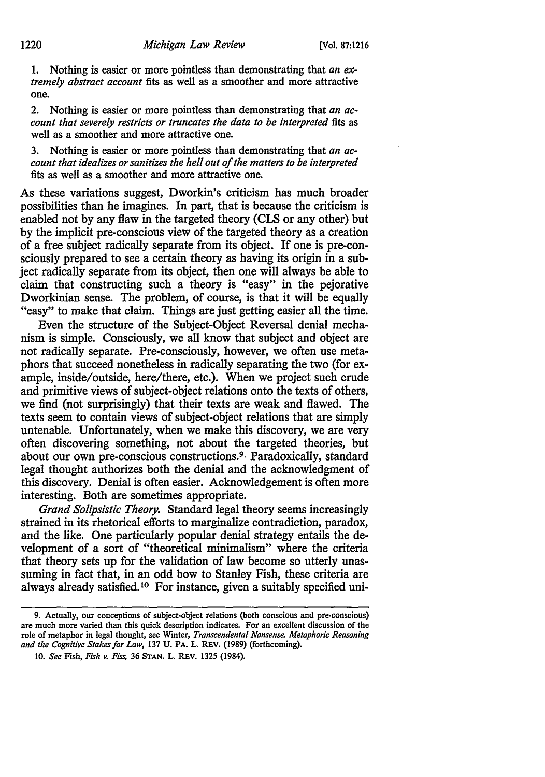1. Nothing is easier or more pointless than demonstrating that *an extremely abstract account* fits as well as a smoother and more attractive one.

2. Nothing is easier or more pointless than demonstrating that *an account that severely restricts or truncates the data to be interpreted* fits as well as a smoother and more attractive one.

3. Nothing is easier or more pointless than demonstrating that *an account that idealizes or sanitizes the hell out of the matters to be interpreted*  fits as well as a smoother and more attractive one.

As these variations suggest, Dworkin's criticism has much broader possibilities than he imagines. In part, that is because the criticism is enabled not by any flaw in the targeted theory (CLS or any other) but by the implicit pre-conscious view of the targeted theory as a creation of a free subject radically separate from its object. If one is pre-consciously prepared to see a certain theory as having its origin in a subject radically separate from its object, then one will always be able to claim that constructing such a theory is "easy" in the pejorative Dworkinian sense. The problem, of course, is that it will be equally "easy" to make that claim. Things are just getting easier all the time.

Even the structure of the Subject-Object Reversal denial mechanism is simple. Consciously, we all know that subject and object are not radically separate. Pre-consciously, however, we often use metaphors that succeed nonetheless in radically separating the two (for example, inside/outside, here/there, etc.). When we project such crude and primitive views of subject-object relations onto the texts of others, we find (not surprisingly) that their texts are weak and flawed. The texts seem to contain views of subject-object relations that are simply untenable. Unfortunately, when we make this discovery, we are very often discovering something, not about the targeted theories, but about our own pre-conscious constructions.9 · Paradoxically, standard legal thought authorizes both the denial and the acknowledgment of this discovery. Denial is often easier. Acknowledgement is often more interesting. Both are sometimes appropriate.

*Grand Solipsistic Theory.* Standard legal theory seems increasingly strained in its rhetorical efforts to marginalize contradiction, paradox, and the like. One particularly popular denial strategy entails the development of a sort of "theoretical minimalism" where the criteria that theory sets up for the validation of law become so utterly unassuming in fact that, in an odd bow to Stanley Fish, these criteria are always already satisfied.<sup>10</sup> For instance, given a suitably specified uni-

<sup>9.</sup> Actually, our conceptions of subject-object relations (both conscious and pre-conscious) are much more varied than this quick description indicates. For an excellent discussion of the role of metaphor in legal thought, see Winter, *Transcendental Nonsense, Metaphoric Reasoning*  and the Cognitive Stakes for Law, 137 U. PA. L. REV. (1989) (forthcoming).

<sup>10.</sup> *See* Fish, *Fish v. Fiss,* 36 STAN. L. R.Ev. 1325 (1984).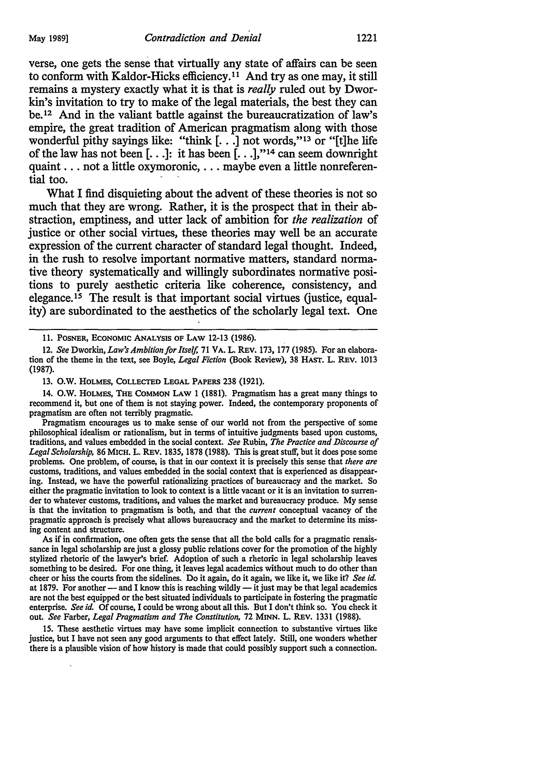verse, one gets the sense that virtually any state of affairs can be seen to conform with Kaldor-Hicks efficiency. 11 And try as one may, it still remains a mystery exactly what it is that is *really* ruled out by Dworkin's invitation to try to make of the legal materials, the best they can be. 12 And in the valiant battle against the bureaucratization of law's empire, the great tradition of American pragmatism along with those wonderful pithy sayings like: "think  $[$ ... ] not words,"<sup>13</sup> or "[t]he life of the law has not been  $[...]$ : it has been  $[...]$ ,"<sup>14</sup> can seem downright quaint ... not a little oxymoronic, ... maybe even a little nonreferential too.

What I find disquieting about the advent of these theories is not so much that they are wrong. Rather, it is the prospect that in their abstraction, emptiness, and utter lack of ambition for *the realization* of justice or other social virtues, these theories may well be an accurate expression of the current character of standard legal thought. Indeed, in the rush to resolve important normative matters, standard normative theory systematically and willingly subordinates normative positions to purely aesthetic criteria like coherence, consistency, and elegance.<sup>15</sup> The result is that important social virtues (justice, equality) are subordinated to the aesthetics of the scholarly legal text. One

13. 0.W. HOLMES, COLLECTED LEGAL PAPERS 238 (1921).

14. o.w. HOLMES, THE CoMMON LAW 1 (1881). Pragmatism has a great many things to recommend it, but one of them is not staying power. Indeed, the contemporary proponents of pragmatism are often not terribly pragmatic.

Pragmatism encourages us to make sense of our world not from the perspective of some philosophical idealism or rationalism, but in terms of intuitive judgments based upon customs, traditions, and values embedded in the social context. *See* Rubin, *The Practice and Discourse of Legal Scholarship,* 86 MICH. L. REV. 1835, 1878 (1988). This is great stuff, but it does pose some problems. One problem, of course, is that in our context it is precisely this sense that *there are*  customs, traditions, and values embedded in the social context that is experienced as disappearing. Instead, we have the powerful rationalizing practices of bureaucracy and the market. So either the pragmatic invitation to look to context is a little vacant or it is an invitation to surrender to whatever customs, traditions, and values the market and bureaucracy produce. My sense is that the invitation to pragmatism is both, and that the *current* conceptual vacancy of the pragmatic approach is precisely what allows bureaucracy and the market to determine its missing content and structure.

As if in confirmation, one often gets the sense that all the bold calls for a pragmatic renaissance in legal scholarship are just a glossy public relations cover for the promotion of the highly stylized rhetoric of the lawyer's brief. Adoption of such a rhetoric in legal scholarship leaves something to be desired. For one thing, it leaves legal academics without much to do other than cheer or hiss the courts from the sidelines. Do it again, do it again, we like it, we like it? *See id.*  at 1879. For another  $-$  and I know this is reaching wildly  $-$  it just may be that legal academics are not the best equipped or the best situated individuals to participate in fostering the pragmatic enterprise. *See id.* Of course, I could be wrong about all this. But I don't think so. You check it out. *See* Farber, *Legal Pragmatism and The Constitution,* 72 MINN. L. REv. 1331 (1988).

15. These aesthetic virtues may have some implicit connection to substantive virtues like justice, but I have not seen any good arguments to that effect lately. Still, one wonders whether there is a plausible vision of how history is made that could possibly support such a connection.

<sup>11.</sup> POSNER, EcONOMIC ANALYSIS OF LAW 12-13 (1986).

<sup>12.</sup> *See* Dworkin, *Law's Ambition for Itself,* 71 VA. L. REv. 173, 177 (1985). For an elaboration of the theme in the text, see Boyle, *Legal Fiction* (Book Review), 38 HAST. L. REV. 1013 (1987).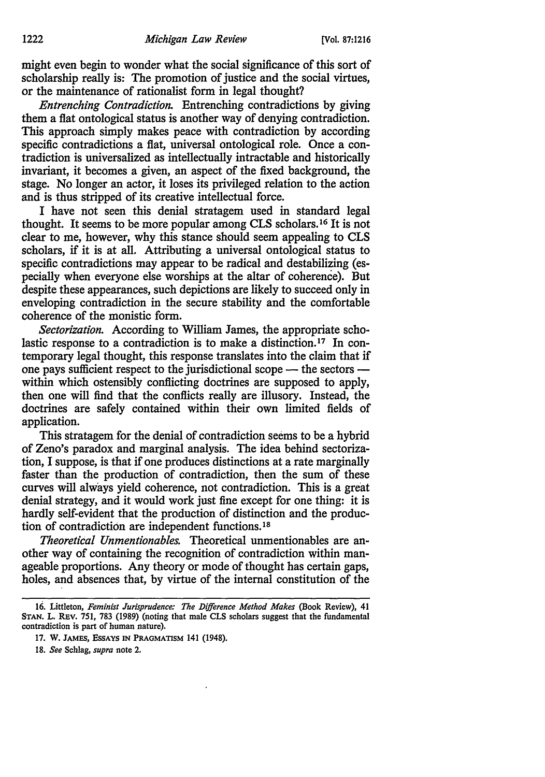might even begin to wonder what the social significance of this sort of scholarship really is: The promotion of justice and the social virtues, or the maintenance of rationalist form in legal thought?

*Entrenching Contradiction.* Entrenching contradictions by giving them a fiat ontological status is another way of denying contradiction. This approach simply makes peace with contradiction by according specific contradictions a fiat, universal ontological role. Once a contradiction is universalized as intellectually intractable and historically invariant, it becomes a given, an aspect of the fixed background, the stage. No longer an actor, it loses its privileged relation to the action and is thus stripped of its creative intellectual force.

I have not seen this denial stratagem used in standard legal thought. It seems to be more popular among CLS scholars. 16 It is not clear to me, however, why this stance should seem appealing to CLS scholars, if it is at all. Attributing a universal ontological status to specific contradictions may appear to be radical and destabilizing (especially when everyone else worships at the altar of coherence). But despite these appearances, such depictions are likely to succeed only in enveloping contradiction in the secure stability and the comfortable coherence of the monistic form.

*Sectorization.* According to William James, the appropriate scholastic response to a contradiction is to make a distinction.17 In contemporary legal thought, this response translates into the claim that if one pays sufficient respect to the jurisdictional scope - the sectors within which ostensibly conflicting doctrines are supposed to apply, then one will find that the conflicts really are illusory. Instead, the doctrines are safely contained within their own limited fields of application.

This stratagem for the denial of contradiction seems to be a hybrid of Zeno's paradox and marginal analysis. The idea behind sectorization, I suppose, is that if one produces distinctions at a rate marginally faster than the production of contradiction, then the sum of these curves will always yield coherence, not contradiction. This is a great denial strategy, and it would work just fine except for one thing: it is hardly self-evident that the production of distinction and the production of contradiction are independent functions.<sup>18</sup>

*Theoretieal Unmentionables.* Theoretical unmentionables are another way of containing the recognition of contradiction within manageable proportions. Any theory or mode of thought has certain gaps, holes, and absences that, by virtue of the internal constitution of the

18. *See* Schlag, *supra* note 2.

<sup>16.</sup> Littleton, *Feminist Jurisprudence: The Difference Method Makes* (Book Review), 41 STAN. L. REv. 751, 783 (1989) (noting that male CLS scholars suggest that the fundamental contradiction is part of human nature).

<sup>17.</sup> W. JAMES, EssAYS IN PRAGMATISM 141 (1948).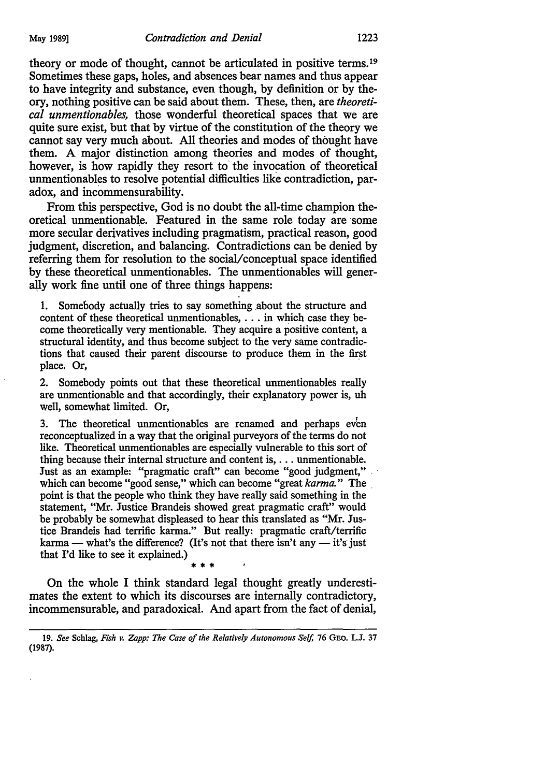theory or mode of thought, cannot be articulated in positive terms. <sup>19</sup> Sometimes these gaps, holes, and absences bear names and thus appear to have integrity and substance, even though, by definition or by theory, nothing positive can be said about them. These, then, are *theoretical unmentionables,* those wonderful theoretical spaces that we are quite sure exist, but that by virtue of the constitution of the theory we cannot say very much about. All theories and modes of thought have them. A major distinction among theories and modes of thought, however, is how rapidly they resort to the invocation of theoretical unmentionables to resolve potential difficulties like contradiction, paradox, and incommensurability.

From this perspective, God is no doubt the all-time champion theoretical unmentionabie. Featured in the same role today are some more secular derivatives including pragmatism, practical reason, good judgment, discretion, and balancing. Contradictions can be denied by referring them for resolution to the social/conceptual space identified by these theoretical unmentionables. The unmentionables will gener ally work fine until one of three things happens:

Somebody actually tries to say something about the structure and content of these theoretical unmentionables, ... in which case they become theoretically very mentionable. They acquire a positive content, a structural identity, and thus become subject to the very same contradictions that caused their parent discourse to produce them in the first place. Or,

2. Somebody points out that these theoretical unmentionables really are unmentionable and that accordingly, their explanatory power is, uh well, somewhat limited. Or,

3. The theoretical unmentionables are renamed and perhaps even reconceptualized in a way that the original purveyors of the terms do not like. Theoretical unmentionables are especially vulnerable to this sort of thing because their internal structure and content is, ... unmentionable. Just as an example: "pragmatic craft" can become "good judgment," which can become "good sense," which can become "great *karma.*" The point is that the people who think they have really said something in the statement, "Mr. Justice Brandeis showed great pragmatic craft" would be probably be somewhat displeased to hear this translated as "Mr. Justice Brandeis had terrific karma." But really: pragmatic craft/terrific karma — what's the difference? (It's not that there isn't any — it's just that I'd like to see it explained.)

\* \* \* On the whole I think standard legal thought greatly underestimates the extent to which its discourses are internally contradictory, incommensurable, and paradoxical. And apart from the fact of denial,

<sup>19.</sup> *See* Schlag, *Fish v. Zapp: The Case of the Relatively Autonomous Self,* 76 GEO. L.J. 37 (1987).